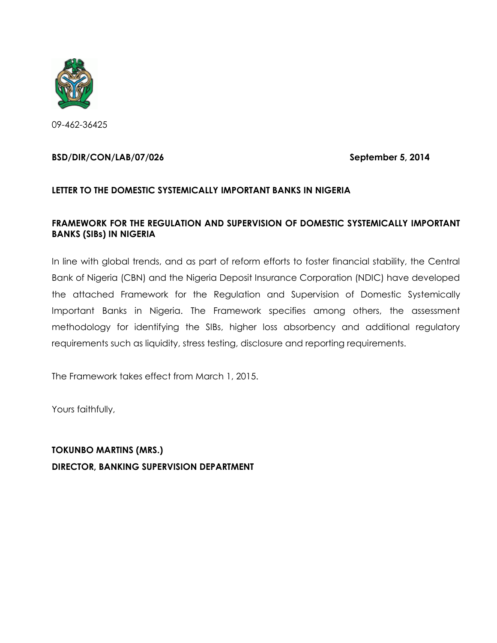

09-462-36425

#### **BSD/DIR/CON/LAB/07/026 September 5, 2014**

#### **LETTER TO THE DOMESTIC SYSTEMICALLY IMPORTANT BANKS IN NIGERIA**

#### **FRAMEWORK FOR THE REGULATION AND SUPERVISION OF DOMESTIC SYSTEMICALLY IMPORTANT BANKS (SIBs) IN NIGERIA**

In line with global trends, and as part of reform efforts to foster financial stability, the Central Bank of Nigeria (CBN) and the Nigeria Deposit Insurance Corporation (NDIC) have developed the attached Framework for the Regulation and Supervision of Domestic Systemically Important Banks in Nigeria. The Framework specifies among others, the assessment methodology for identifying the SIBs, higher loss absorbency and additional regulatory requirements such as liquidity, stress testing, disclosure and reporting requirements.

The Framework takes effect from March 1, 2015.

Yours faithfully,

**TOKUNBO MARTINS (MRS.) DIRECTOR, BANKING SUPERVISION DEPARTMENT**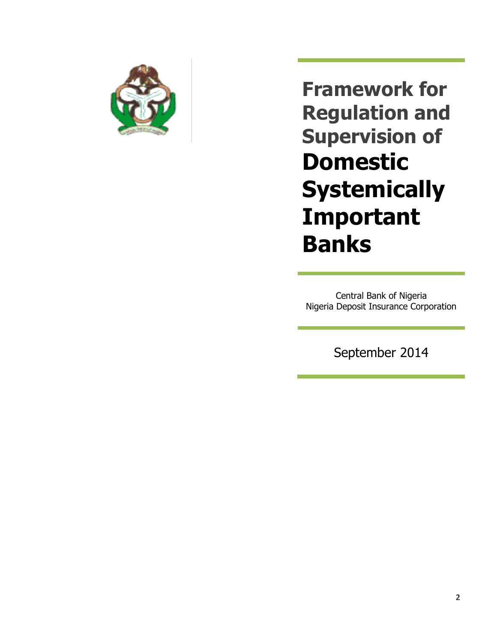

**Framework for Regulation and Supervision of Domestic Systemically Important Banks**

Central Bank of Nigeria Nigeria Deposit Insurance Corporation

September 2014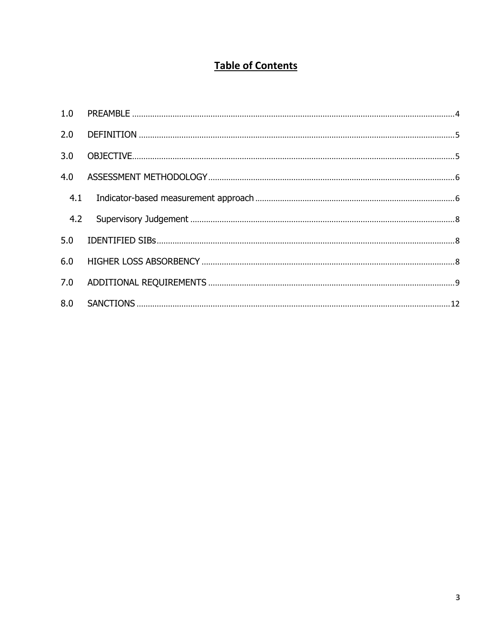# **Table of Contents**

| 2.0 |  |
|-----|--|
| 3.0 |  |
| 4.0 |  |
|     |  |
| 4.2 |  |
| 5.0 |  |
| 6.0 |  |
| 7.0 |  |
|     |  |
|     |  |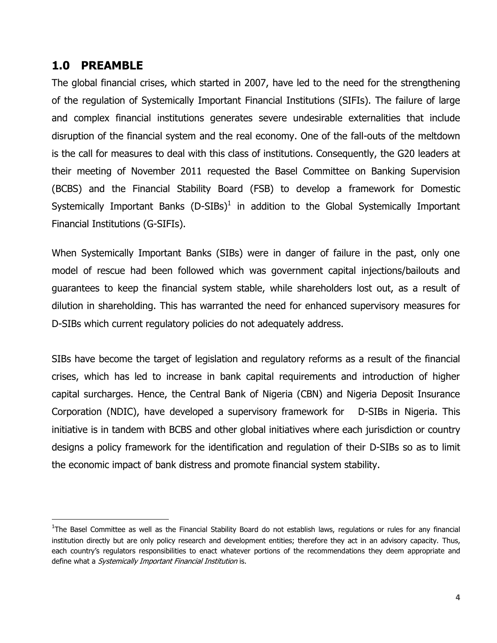## <span id="page-3-0"></span>**1.0 PREAMBLE**

 $\overline{\phantom{a}}$ 

The global financial crises, which started in 2007, have led to the need for the strengthening of the regulation of Systemically Important Financial Institutions (SIFIs). The failure of large and complex financial institutions generates severe undesirable externalities that include disruption of the financial system and the real economy. One of the fall-outs of the meltdown is the call for measures to deal with this class of institutions. Consequently, the G20 leaders at their meeting of November 2011 requested the Basel Committee on Banking Supervision (BCBS) and the Financial Stability Board (FSB) to develop a framework for Domestic Systemically Important Banks (D-SIBs)<sup>1</sup> in addition to the Global Systemically Important Financial Institutions (G-SIFIs).

When Systemically Important Banks (SIBs) were in danger of failure in the past, only one model of rescue had been followed which was government capital injections/bailouts and guarantees to keep the financial system stable, while shareholders lost out, as a result of dilution in shareholding. This has warranted the need for enhanced supervisory measures for D-SIBs which current regulatory policies do not adequately address.

SIBs have become the target of legislation and regulatory reforms as a result of the financial crises, which has led to increase in bank capital requirements and introduction of higher capital surcharges. Hence, the Central Bank of Nigeria (CBN) and Nigeria Deposit Insurance Corporation (NDIC), have developed a supervisory framework for D-SIBs in Nigeria. This initiative is in tandem with BCBS and other global initiatives where each jurisdiction or country designs a policy framework for the identification and regulation of their D-SIBs so as to limit the economic impact of bank distress and promote financial system stability.

<sup>&</sup>lt;sup>1</sup>The Basel Committee as well as the Financial Stability Board do not establish laws, regulations or rules for any financial institution directly but are only policy research and development entities; therefore they act in an advisory capacity. Thus, each country's regulators responsibilities to enact whatever portions of the recommendations they deem appropriate and define what a *Systemically Important Financial Institution* is.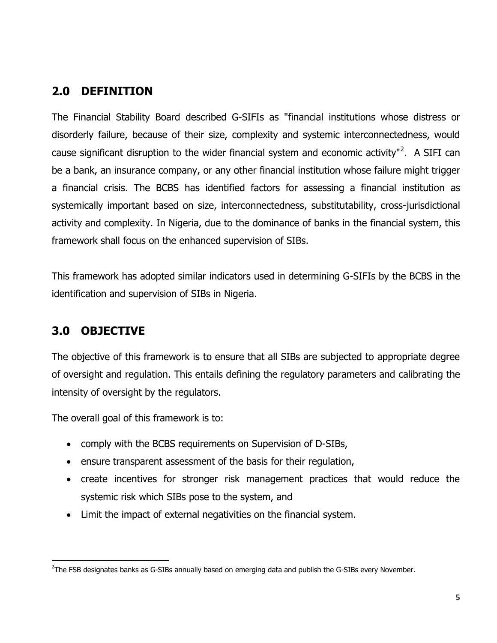## <span id="page-4-0"></span>**2.0 DEFINITION**

The Financial Stability Board described G-SIFIs as "financial institutions whose distress or disorderly failure, because of their size, complexity and systemic interconnectedness, would cause significant disruption to the wider financial system and economic activity"<sup>2</sup>. A SIFI can be a [bank,](http://en.wikipedia.org/wiki/Bank) an [insurance](http://en.wikipedia.org/wiki/Insurance) company, or any other [financial institution](http://en.wikipedia.org/wiki/Financial_institution) whose failure might trigger a financial crisis. The BCBS has identified factors for assessing a financial institution as systemically important based on size, interconnectedness, substitutability, cross-jurisdictional activity and complexity. In Nigeria, due to the dominance of banks in the financial system, this framework shall focus on the enhanced supervision of SIBs.

This framework has adopted similar indicators used in determining G-SIFIs by the BCBS in the identification and supervision of SIBs in Nigeria.

## <span id="page-4-1"></span>**3.0 OBJECTIVE**

l

The objective of this framework is to ensure that all SIBs are subjected to appropriate degree of oversight and regulation. This entails defining the regulatory parameters and calibrating the intensity of oversight by the regulators.

The overall goal of this framework is to:

- comply with the BCBS requirements on Supervision of D-SIBs,
- ensure transparent assessment of the basis for their regulation,
- create incentives for stronger risk management practices that would reduce the systemic risk which SIBs pose to the system, and
- Limit the impact of external negativities on the financial system.

 $^{2}$ The FSB designates banks as G-SIBs annually based on emerging data and publish the G-SIBs every November.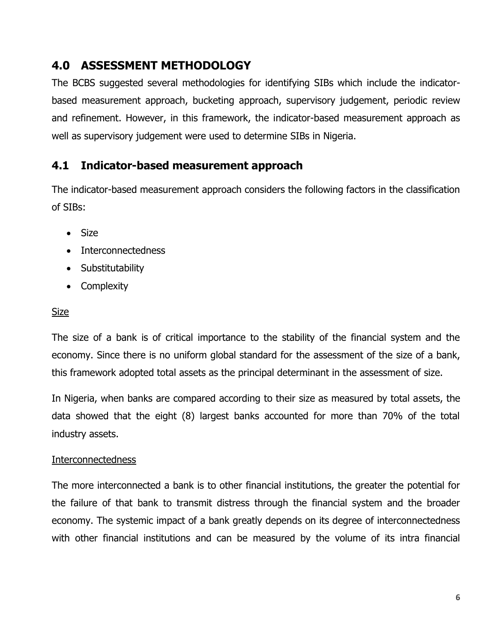# <span id="page-5-0"></span>**4.0 ASSESSMENT METHODOLOGY**

The BCBS suggested several methodologies for identifying SIBs which include the indicatorbased measurement approach, bucketing approach, supervisory judgement, periodic review and refinement. However, in this framework, the indicator-based measurement approach as well as supervisory judgement were used to determine SIBs in Nigeria.

## <span id="page-5-1"></span>**4.1 Indicator-based measurement approach**

The indicator-based measurement approach considers the following factors in the classification of SIBs:

- Size
- Interconnectedness
- Substitutability
- Complexity

### Size

The size of a bank is of critical importance to the stability of the financial system and the economy. Since there is no uniform global standard for the assessment of the size of a bank, this framework adopted total assets as the principal determinant in the assessment of size.

In Nigeria, when banks are compared according to their size as measured by total assets, the data showed that the eight (8) largest banks accounted for more than 70% of the total industry assets.

### **Interconnectedness**

The more interconnected a bank is to other financial institutions, the greater the potential for the failure of that bank to transmit distress through the financial system and the broader economy. The systemic impact of a bank greatly depends on its degree of interconnectedness with other financial institutions and can be measured by the volume of its intra financial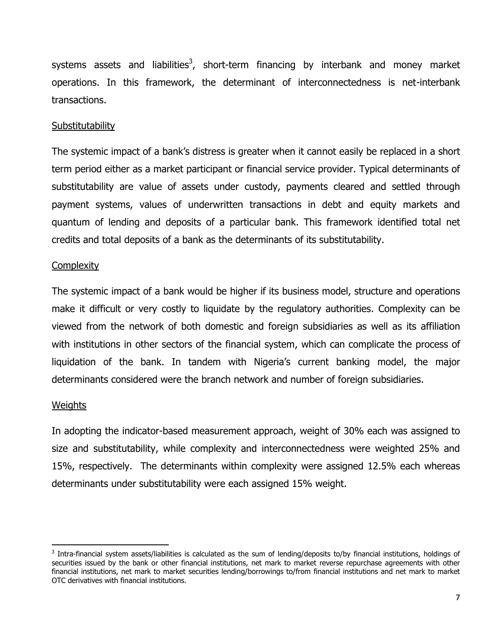systems assets and liabilities<sup>3</sup>, short-term financing by interbank and money market operations. In this framework, the determinant of interconnectedness is net-interbank transactions.

#### **Substitutability**

The systemic impact of a bank's distress is greater when it cannot easily be replaced in a short term period either as a market participant or financial service provider. Typical determinants of substitutability are value of assets under custody, payments cleared and settled through payment systems, values of underwritten transactions in debt and equity markets and quantum of lending and deposits of a particular bank. This framework identified total net credits and total deposits of a bank as the determinants of its substitutability.

#### **Complexity**

The systemic impact of a bank would be higher if its business model, structure and operations make it difficult or very costly to liquidate by the regulatory authorities. Complexity can be viewed from the network of both domestic and foreign subsidiaries as well as its affiliation with institutions in other sectors of the financial system, which can complicate the process of liquidation of the bank. In tandem with Nigeria's current banking model, the major determinants considered were the branch network and number of foreign subsidiaries.

#### **Weights**

 $\overline{\phantom{a}}$ 

In adopting the indicator-based measurement approach, weight of 30% each was assigned to size and substitutability, while complexity and interconnectedness were weighted 25% and 15%, respectively. The determinants within complexity were assigned 12.5% each whereas determinants under substitutability were each assigned 15% weight.

<sup>&</sup>lt;sup>3</sup> Intra-financial system assets/liabilities is calculated as the sum of lending/deposits to/by financial institutions, holdings of securities issued by the bank or other financial institutions, net mark to market reverse repurchase agreements with other financial institutions, net mark to market securities lending/borrowings to/from financial institutions and net mark to market OTC derivatives with financial institutions.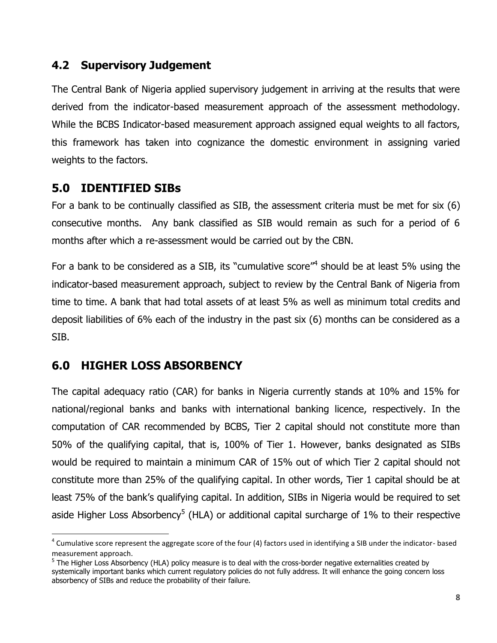## <span id="page-7-0"></span>**4.2 Supervisory Judgement**

The Central Bank of Nigeria applied supervisory judgement in arriving at the results that were derived from the indicator-based measurement approach of the assessment methodology. While the BCBS Indicator-based measurement approach assigned equal weights to all factors, this framework has taken into cognizance the domestic environment in assigning varied weights to the factors.

## <span id="page-7-1"></span>**5.0 IDENTIFIED SIBs**

For a bank to be continually classified as SIB, the assessment criteria must be met for six (6) consecutive months. Any bank classified as SIB would remain as such for a period of 6 months after which a re-assessment would be carried out by the CBN.

For a bank to be considered as a SIB, its "cumulative score"<sup>4</sup> should be at least 5% using the indicator-based measurement approach, subject to review by the Central Bank of Nigeria from time to time. A bank that had total assets of at least 5% as well as minimum total credits and deposit liabilities of 6% each of the industry in the past six (6) months can be considered as a SIB.

# <span id="page-7-2"></span>**6.0 HIGHER LOSS ABSORBENCY**

l

The capital adequacy ratio (CAR) for banks in Nigeria currently stands at 10% and 15% for national/regional banks and banks with international banking licence, respectively. In the computation of CAR recommended by BCBS, Tier 2 capital should not constitute more than 50% of the qualifying capital, that is, 100% of Tier 1. However, banks designated as SIBs would be required to maintain a minimum CAR of 15% out of which Tier 2 capital should not constitute more than 25% of the qualifying capital. In other words, Tier 1 capital should be at least 75% of the bank's qualifying capital. In addition, SIBs in Nigeria would be required to set aside Higher Loss Absorbency<sup>5</sup> (HLA) or additional capital surcharge of 1% to their respective

 $^4$  Cumulative score represent the aggregate score of the four (4) factors used in identifying a SIB under the indicator- based measurement approach.

<sup>&</sup>lt;sup>5</sup> The Higher Loss Absorbency (HLA) policy measure is to deal with the cross-border negative externalities created by systemically important banks which current regulatory policies do not fully address. It will enhance the going concern loss absorbency of SIBs and reduce the probability of their failure.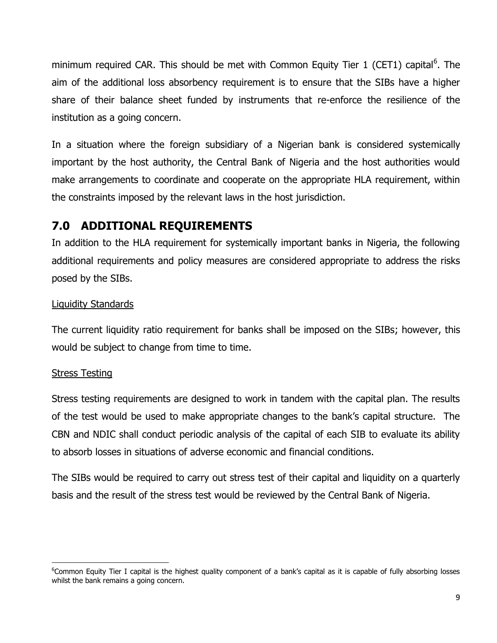minimum required CAR. This should be met with Common Equity Tier 1 (CET1) capital<sup>6</sup>. The aim of the additional loss absorbency requirement is to ensure that the SIBs have a higher share of their balance sheet funded by instruments that re-enforce the resilience of the institution as a going concern.

In a situation where the foreign subsidiary of a Nigerian bank is considered systemically important by the host authority, the Central Bank of Nigeria and the host authorities would make arrangements to coordinate and cooperate on the appropriate HLA requirement, within the constraints imposed by the relevant laws in the host jurisdiction.

# <span id="page-8-0"></span>**7.0 ADDITIONAL REQUIREMENTS**

In addition to the HLA requirement for systemically important banks in Nigeria, the following additional requirements and policy measures are considered appropriate to address the risks posed by the SIBs.

## Liquidity Standards

The current liquidity ratio requirement for banks shall be imposed on the SIBs; however, this would be subject to change from time to time.

## Stress Testing

l

Stress testing requirements are designed to work in tandem with the capital plan. The results of the test would be used to make appropriate changes to the bank's capital structure. The CBN and NDIC shall conduct periodic analysis of the capital of each SIB to evaluate its ability to absorb losses in situations of adverse economic and financial conditions.

The SIBs would be required to carry out stress test of their capital and liquidity on a quarterly basis and the result of the stress test would be reviewed by the Central Bank of Nigeria.

<sup>&</sup>lt;sup>6</sup>Common Equity Tier I capital is the highest quality component of a bank's capital as it is capable of fully absorbing losses whilst the bank remains a going concern.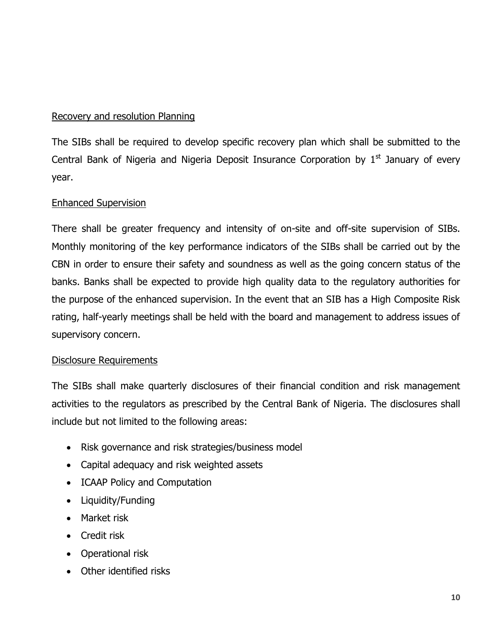## Recovery and resolution Planning

The SIBs shall be required to develop specific recovery plan which shall be submitted to the Central Bank of Nigeria and Nigeria Deposit Insurance Corporation by  $1<sup>st</sup>$  January of every year.

### Enhanced Supervision

There shall be greater frequency and intensity of on-site and off-site supervision of SIBs. Monthly monitoring of the key performance indicators of the SIBs shall be carried out by the CBN in order to ensure their safety and soundness as well as the going concern status of the banks. Banks shall be expected to provide high quality data to the regulatory authorities for the purpose of the enhanced supervision. In the event that an SIB has a High Composite Risk rating, half-yearly meetings shall be held with the board and management to address issues of supervisory concern.

### Disclosure Requirements

The SIBs shall make quarterly disclosures of their financial condition and risk management activities to the regulators as prescribed by the Central Bank of Nigeria. The disclosures shall include but not limited to the following areas:

- Risk governance and risk strategies/business model
- Capital adequacy and risk weighted assets
- ICAAP Policy and Computation
- Liquidity/Funding
- Market risk
- Credit risk
- Operational risk
- Other identified risks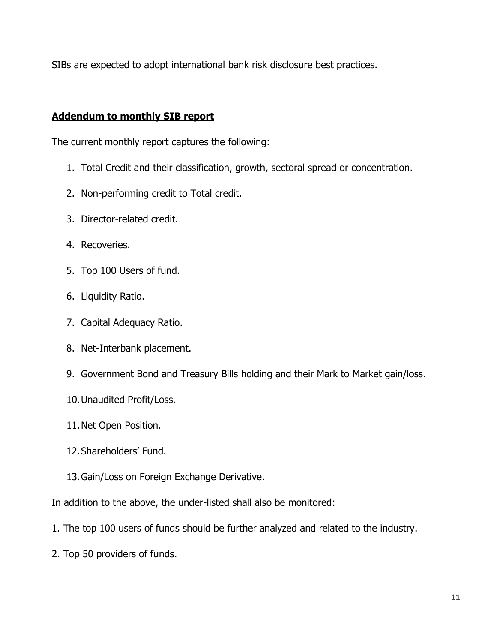SIBs are expected to adopt international bank risk disclosure best practices.

### **Addendum to monthly SIB report**

The current monthly report captures the following:

- 1. Total Credit and their classification, growth, sectoral spread or concentration.
- 2. Non-performing credit to Total credit.
- 3. Director-related credit.
- 4. Recoveries.
- 5. Top 100 Users of fund.
- 6. Liquidity Ratio.
- 7. Capital Adequacy Ratio.
- 8. Net-Interbank placement.
- 9. Government Bond and Treasury Bills holding and their Mark to Market gain/loss.
- 10.Unaudited Profit/Loss.
- 11.Net Open Position.
- 12.Shareholders' Fund.
- 13.Gain/Loss on Foreign Exchange Derivative.

In addition to the above, the under-listed shall also be monitored:

- 1. The top 100 users of funds should be further analyzed and related to the industry.
- 2. Top 50 providers of funds.